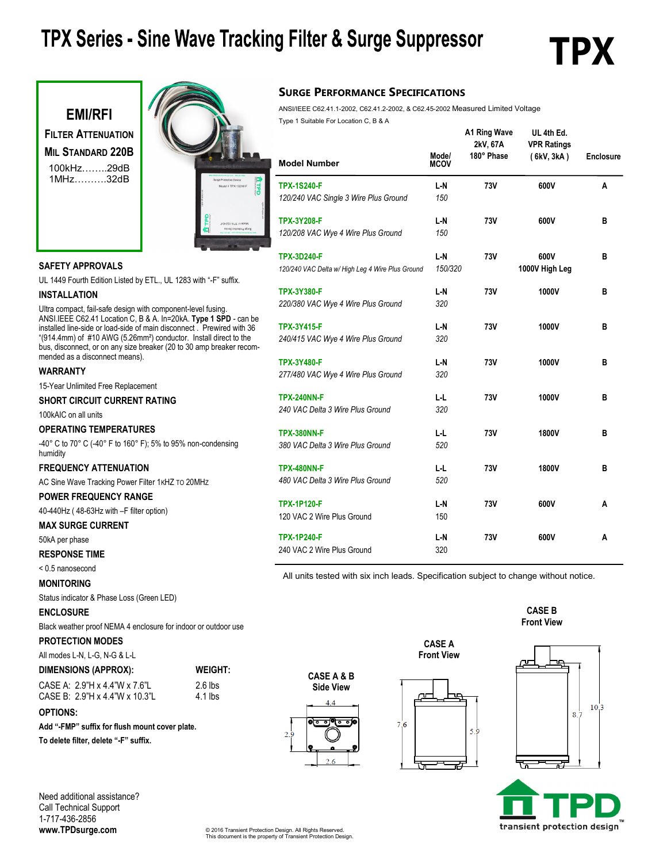### TPX Series - Sine Wave Tracking Filter & Surge Suppressor

## ГРХ





#### **SURGE PERFORMANCE SPECIFICATIONS**

ANSI/IEEE C62.41.1-2002, C62.41.2-2002, & C62.45-2002 Measured Limited Voltage

| <b>Model Number</b>                                                    | Mode/<br><b>MCOV</b> | A1 Ring Wave<br>2kV, 67A<br>180° Phase | UL 4th Ed.<br><b>VPR Ratings</b><br>(6kV, 3kA) | <b>Enclosure</b> |
|------------------------------------------------------------------------|----------------------|----------------------------------------|------------------------------------------------|------------------|
| <b>TPX-1S240-F</b><br>120/240 VAC Single 3 Wire Plus Ground            | L-N<br>150           | 73V                                    | 600V                                           | A                |
| <b>TPX-3Y208-F</b><br>120/208 VAC Wye 4 Wire Plus Ground               | L-N<br>150           | 73V                                    | 600V                                           | в                |
| <b>TPX-3D240-F</b><br>120/240 VAC Delta w/ High Leg 4 Wire Plus Ground | L-N<br>150/320       | 73V                                    | 600V<br>1000V High Leg                         | в                |
| <b>TPX-3Y380-F</b><br>220/380 VAC Wye 4 Wire Plus Ground               | L-N<br>320           | 73V                                    | 1000V                                          | в                |
| <b>TPX-3Y415-F</b><br>240/415 VAC Wye 4 Wire Plus Ground               | L-N<br>320           | 73V                                    | 1000V                                          | в                |
| <b>TPX-3Y480-F</b><br>277/480 VAC Wye 4 Wire Plus Ground               | L-N<br>320           | 73V                                    | 1000V                                          | в                |
| <b>TPX-240NN-F</b><br>240 VAC Delta 3 Wire Plus Ground                 | L-L<br>320           | 73V                                    | 1000V                                          | в                |
| <b>TPX-380NN-F</b><br>380 VAC Delta 3 Wire Plus Ground                 | L-L<br>520           | 73V                                    | 1800V                                          | в                |
| <b>TPX-480NN-F</b><br>480 VAC Delta 3 Wire Plus Ground                 | ĿL<br>520            | 73V                                    | 1800V                                          | в                |
| <b>TPX-1P120-F</b><br>120 VAC 2 Wire Plus Ground                       | L-N<br>150           | 73V                                    | 600V                                           | A                |
| <b>TPX-1P240-F</b><br>240 VAC 2 Wire Plus Ground                       | L-N<br>320           | 73V                                    | 600V                                           | А                |

#### **SAFETY APPROVALS**

UL 1449 Fourth Edition Listed by ETL., UL 1283 with "-F" suffix.

#### **INSTALLATION**

Ultra compact, fail-safe design with component-level fusing. ANSI.IEEE C62.41 Location C, B & A. In=20kA. **Type 1 SPD** - can be installed line-side or load-side of main disconnect . Prewired with 36 "(914.4mm) of #10 AWG (5.26mm²) conductor. Install direct to the bus, disconnect, or on any size breaker (20 to 30 amp breaker recommended as a disconnect means). **WARRANTY**

15-Year Unlimited Free Replacement

#### **SHORT CIRCUIT CURRENT RATING**

100kAIC on all units

#### **OPERATING TEMPERATURES**

-40° C to 70° C (-40° F to 160° F); 5% to 95% non-condensing humidity

#### **FREQUENCY ATTENUATION**

AC Sine Wave Tracking Power Filter 1KHZ TO 20MHZ

**POWER FREQUENCY RANGE** 40-440Hz ( 48-63Hz with –F filter option)

#### **MAX SURGE CURRENT**

50kA per phase

#### **RESPONSE TIME**

< 0.5 nanosecond

#### **MONITORING**

Status indicator & Phase Loss (Green LED)

#### **ENCLOSURE**

Black weather proof NEMA 4 enclosure for indoor or outdoor use

 $2.6$  lbs 4.1 lbs

#### **PROTECTION MODES**

All modes L-N, L-G, N-G & L-L

### **DIMENSIONS (APPROX): WEIGHT:**

| CASE A: 2.9"H x 4.4"W x 7.6"L  |  |
|--------------------------------|--|
| CASE B: 2.9"H x 4.4"W x 10.3"L |  |

#### **OPTIONS:**

**Add "-FMP" suffix for flush mount cover plate.**

**To delete filter, delete "-F" suffix.**

Need additional assistance? Call Technical Support 1-717-436-2856 **www.TPDsurge.com**

All units tested with six inch leads. Specification subject to change without notice.

**CASE A Front View**







transient protection design

© 2016 Transient Protection Design. All Rights Reserved. This document is the property of Transient Protection Design.

**CASE A & B Side View**